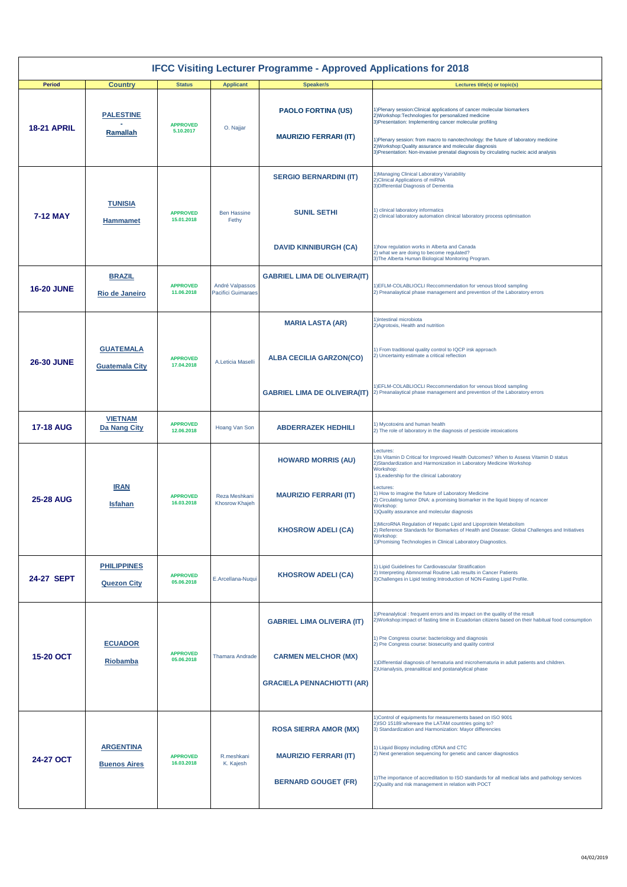| <b>IFCC Visiting Lecturer Programme - Approved Applications for 2018</b> |                                           |                               |                                              |                                                                                                      |                                                                                                                                                                                                                                                                                                                                                                                                                                                                                                                                                                                                                                  |  |  |  |
|--------------------------------------------------------------------------|-------------------------------------------|-------------------------------|----------------------------------------------|------------------------------------------------------------------------------------------------------|----------------------------------------------------------------------------------------------------------------------------------------------------------------------------------------------------------------------------------------------------------------------------------------------------------------------------------------------------------------------------------------------------------------------------------------------------------------------------------------------------------------------------------------------------------------------------------------------------------------------------------|--|--|--|
| <b>Period</b>                                                            | <b>Country</b>                            | <b>Status</b>                 | <b>Applicant</b>                             | <b>Speaker/s</b>                                                                                     | Lectures title(s) or topic(s)                                                                                                                                                                                                                                                                                                                                                                                                                                                                                                                                                                                                    |  |  |  |
| <b>18-21 APRIL</b>                                                       | <b>PALESTINE</b><br>Ramallah              | <b>APPROVED</b><br>5.10.2017  | O. Najjar                                    | <b>PAOLO FORTINA (US)</b><br><b>MAURIZIO FERRARI (IT)</b>                                            | 1) Plenary session: Clinical applications of cancer molecular biomarkers<br>2) Workshop: Technologies for personalized medicine<br>3) Presentation: Implementing cancer molecular profiling<br>1) Plenary session: from macro to nanotechnology: the future of laboratory medicine<br>2) Workshop: Quality assurance and molecular diagnosis<br>3) Presentation: Non-invasive prenatal diagnosis by circulating nucleic acid analysis                                                                                                                                                                                            |  |  |  |
| 7-12 MAY                                                                 | <b>TUNISIA</b><br><b>Hammamet</b>         | <b>APPROVED</b><br>15.01.2018 | <b>Ben Hassine</b><br>Fethy                  | <b>SERGIO BERNARDINI (IT)</b><br><b>SUNIL SETHI</b><br><b>DAVID KINNIBURGH (CA)</b>                  | Managing Clinical Laboratory Variability<br>2) Clinical Applications of miRNA<br>3) Differential Diagnosis of Dementia<br>1) clinical laboratory informatics<br>2) clinical laboratory automation clinical laboratory process optimisation<br>1) how regulation works in Alberta and Canada<br>2) what we are doing to become regulated?                                                                                                                                                                                                                                                                                         |  |  |  |
| <b>16-20 JUNE</b>                                                        | <b>BRAZIL</b><br>Rio de Janeiro           | <b>APPROVED</b><br>11.06.2018 | André Valpassos<br><b>Pacifici Guimaraes</b> | <b>GABRIEL LIMA DE OLIVEIRA(IT)</b>                                                                  | 3) The Alberta Human Biological Monitoring Program.<br>1) EFLM-COLABLIOCLI Reccommendation for venous blood sampling<br>2) Preanalaytical phase management and prevention of the Laboratory errors                                                                                                                                                                                                                                                                                                                                                                                                                               |  |  |  |
|                                                                          |                                           |                               |                                              | <b>MARIA LASTA (AR)</b>                                                                              | 1)intestinal microbiota                                                                                                                                                                                                                                                                                                                                                                                                                                                                                                                                                                                                          |  |  |  |
| <b>26-30 JUNE</b>                                                        | <b>GUATEMALA</b><br><b>Guatemala City</b> | <b>APPROVED</b><br>17.04.2018 | A.Leticia Maselli                            | <b>ALBA CECILIA GARZON(CO)</b>                                                                       | 2) Agrotoxis, Health and nutrition<br>1) From traditional quality control to IQCP irsk approach<br>2) Uncertainty estimate a critical reflection                                                                                                                                                                                                                                                                                                                                                                                                                                                                                 |  |  |  |
|                                                                          |                                           |                               |                                              | <b>GABRIEL LIMA DE OLIVEIRA(IT)</b>                                                                  | 1) EFLM-COLABLIOCLI Reccommendation for venous blood sampling<br>2) Preanalaytical phase management and prevention of the Laboratory errors                                                                                                                                                                                                                                                                                                                                                                                                                                                                                      |  |  |  |
| <b>17-18 AUG</b>                                                         | <b>VIETNAM</b><br>Da Nang City            | <b>APPROVED</b><br>12.06.2018 | Hoang Van Son                                | <b>ABDERRAZEK HEDHILI</b>                                                                            | 1) Mycotoxins and human health<br>2) The role of laboratory in the diagnosis of pesticide intoxications                                                                                                                                                                                                                                                                                                                                                                                                                                                                                                                          |  |  |  |
| <b>25-28 AUG</b>                                                         | <b>IRAN</b><br><b>Isfahan</b>             | <b>APPROVED</b><br>16.03.2018 | Reza Meshkani<br>Khosrow Khajeh              | <b>HOWARD MORRIS (AU)</b><br><b>MAURIZIO FERRARI (IT)</b><br><b>KHOSROW ADELI (CA)</b>               | Lectures:<br>1) Is Vitamin D Critical for Improved Health Outcomes? When to Assess Vitamin D status<br>2) Standardization and Harmonization in Laboratory Medicine Workshop<br>Workshop:<br>1) Leadership for the clinical Laboratory<br>Lectures:<br>1) How to imagine the future of Laboratory Medicine<br>2) Circulating tumor DNA: a promising biomarker in the liquid biopsy of ncancer<br>Workshop:<br>1) Quality assurance and molecular diagnosis<br>1) MicroRNA Regulation of Hepatic Lipid and Lipoprotein Metabolism<br>2) Reference Standards for Biomarkes of Health and Disease: Global Challenges and Initiatives |  |  |  |
|                                                                          |                                           |                               |                                              |                                                                                                      | Workshop:<br>1) Promising Technologies in Clinical Laboratory Diagnostics.                                                                                                                                                                                                                                                                                                                                                                                                                                                                                                                                                       |  |  |  |
| 24-27 SEPT                                                               | <b>PHILIPPINES</b><br><b>Quezon City</b>  | <b>APPROVED</b><br>05.06.2018 | E.Arcellana-Nuqui                            | <b>KHOSROW ADELI (CA)</b>                                                                            | 1) Lipid Guidelines for Cardiovascular Stratification<br>2) Interpreting Abmnormal Routine Lab results in Cancer Patients<br>3) Challenges in Lipid testing: Introduction of NON-Fasting Lipid Profile.                                                                                                                                                                                                                                                                                                                                                                                                                          |  |  |  |
| 15-20 OCT                                                                | <b>ECUADOR</b><br>Riobamba                | <b>APPROVED</b><br>05.06.2018 | <b>Thamara Andrade</b>                       | <b>GABRIEL LIMA OLIVEIRA (IT)</b><br><b>CARMEN MELCHOR (MX)</b><br><b>GRACIELA PENNACHIOTTI (AR)</b> | 1) Preanalytical: frequent errors and its impact on the quality of the result<br>2) Workshop: impact of fasting time in Ecuadorian citizens based on their habitual food consumption<br>1) Pre Congress course: bacteriology and diagnosis<br>2) Pre Congress course: biosecurity and quality control<br>1) Differential diagnosis of hematuria and microhematuria in adult patients and children.<br>2) Urianalysis, preanalitical and postanalytical phase                                                                                                                                                                     |  |  |  |
| 24-27 OCT                                                                | <b>ARGENTINA</b><br><b>Buenos Aires</b>   | <b>APPROVED</b><br>16.03.2018 | R.meshkani<br>K. Kajesh                      | <b>ROSA SIERRA AMOR (MX)</b><br><b>MAURIZIO FERRARI (IT)</b><br><b>BERNARD GOUGET (FR)</b>           | 1) Control of equipments for measurements based on ISO 9001<br>2)ISO 15189: whereare the LATAM countries going to?<br>3) Standardization and Harmonization: Mayor differencies<br>1) Liquid Biopsy including cfDNA and CTC<br>2) Next generation sequencing for genetic and cancer diagnostics<br>1) The importance of accreditation to ISO standards for all medical labs and pathology services<br>2) Quality and risk management in relation with POCT                                                                                                                                                                        |  |  |  |